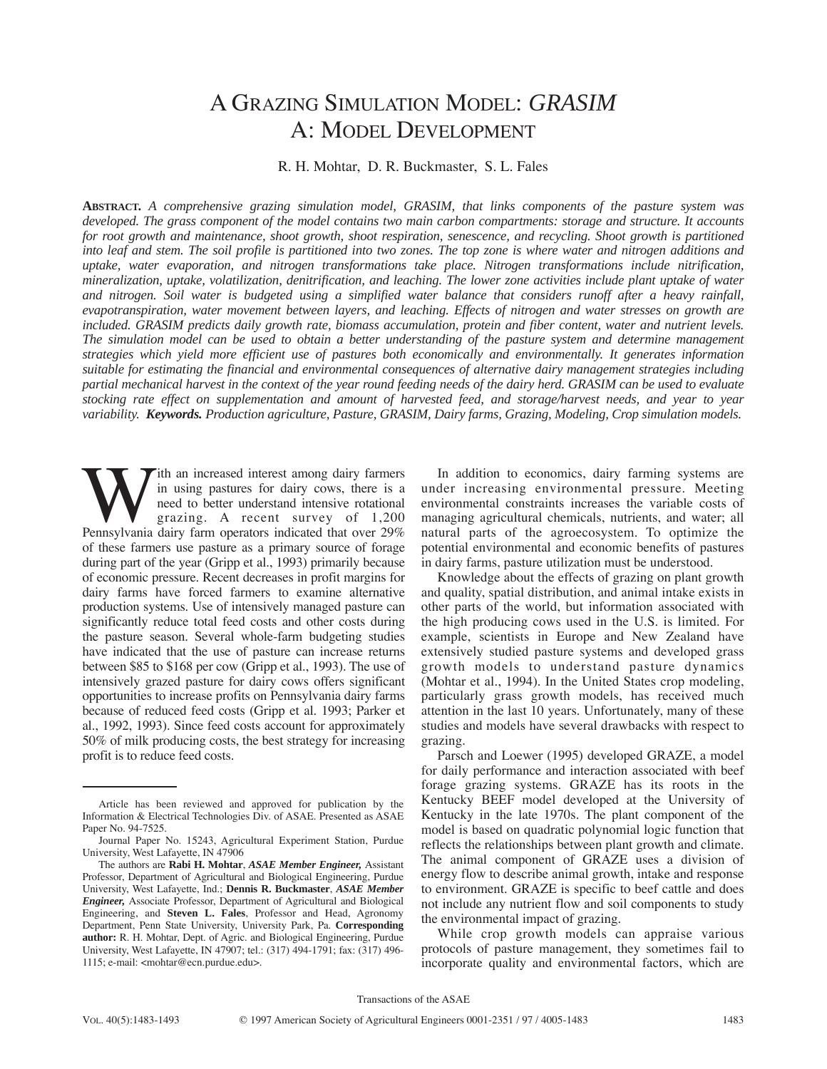# A GRAZING SIMULATION MODEL: *GRASIM* A: MODEL DEVELOPMENT

R. H. Mohtar, D. R. Buckmaster, S. L. Fales

**ABSTRACT.** *A comprehensive grazing simulation model, GRASIM, that links components of the pasture system was developed. The grass component of the model contains two main carbon compartments: storage and structure. It accounts for root growth and maintenance, shoot growth, shoot respiration, senescence, and recycling. Shoot growth is partitioned into leaf and stem. The soil profile is partitioned into two zones. The top zone is where water and nitrogen additions and uptake, water evaporation, and nitrogen transformations take place. Nitrogen transformations include nitrification, mineralization, uptake, volatilization, denitrification, and leaching. The lower zone activities include plant uptake of water and nitrogen. Soil water is budgeted using a simplified water balance that considers runoff after a heavy rainfall, evapotranspiration, water movement between layers, and leaching. Effects of nitrogen and water stresses on growth are included. GRASIM predicts daily growth rate, biomass accumulation, protein and fiber content, water and nutrient levels. The simulation model can be used to obtain a better understanding of the pasture system and determine management strategies which yield more efficient use of pastures both economically and environmentally. It generates information suitable for estimating the financial and environmental consequences of alternative dairy management strategies including partial mechanical harvest in the context of the year round feeding needs of the dairy herd. GRASIM can be used to evaluate stocking rate effect on supplementation and amount of harvested feed, and storage/harvest needs, and year to year variability. Keywords. Production agriculture, Pasture, GRASIM, Dairy farms, Grazing, Modeling, Crop simulation models.*

With an increased interest among dairy farmers<br>
in using pastures for dairy cows, there is a<br>
need to better understand intensive rotational<br>
grazing. A recent survey of 1,200<br>
Pennsylvania dairy farm operators indicated t in using pastures for dairy cows, there is a need to better understand intensive rotational grazing. A recent survey of 1,200 of these farmers use pasture as a primary source of forage during part of the year (Gripp et al., 1993) primarily because of economic pressure. Recent decreases in profit margins for dairy farms have forced farmers to examine alternative production systems. Use of intensively managed pasture can significantly reduce total feed costs and other costs during the pasture season. Several whole-farm budgeting studies have indicated that the use of pasture can increase returns between \$85 to \$168 per cow (Gripp et al., 1993). The use of intensively grazed pasture for dairy cows offers significant opportunities to increase profits on Pennsylvania dairy farms because of reduced feed costs (Gripp et al. 1993; Parker et al., 1992, 1993). Since feed costs account for approximately 50% of milk producing costs, the best strategy for increasing profit is to reduce feed costs.

In addition to economics, dairy farming systems are under increasing environmental pressure. Meeting environmental constraints increases the variable costs of managing agricultural chemicals, nutrients, and water; all natural parts of the agroecosystem. To optimize the potential environmental and economic benefits of pastures in dairy farms, pasture utilization must be understood.

Knowledge about the effects of grazing on plant growth and quality, spatial distribution, and animal intake exists in other parts of the world, but information associated with the high producing cows used in the U.S. is limited. For example, scientists in Europe and New Zealand have extensively studied pasture systems and developed grass growth models to understand pasture dynamics (Mohtar et al., 1994). In the United States crop modeling, particularly grass growth models, has received much attention in the last 10 years. Unfortunately, many of these studies and models have several drawbacks with respect to grazing.

Parsch and Loewer (1995) developed GRAZE, a model for daily performance and interaction associated with beef forage grazing systems. GRAZE has its roots in the Kentucky BEEF model developed at the University of Kentucky in the late 1970s. The plant component of the model is based on quadratic polynomial logic function that reflects the relationships between plant growth and climate. The animal component of GRAZE uses a division of energy flow to describe animal growth, intake and response to environment. GRAZE is specific to beef cattle and does not include any nutrient flow and soil components to study the environmental impact of grazing.

While crop growth models can appraise various protocols of pasture management, they sometimes fail to incorporate quality and environmental factors, which are

Article has been reviewed and approved for publication by the Information & Electrical Technologies Div. of ASAE. Presented as ASAE Paper No. 94-7525.

Journal Paper No. 15243, Agricultural Experiment Station, Purdue University, West Lafayette, IN 47906

The authors are **Rabi H. Mohtar**, *ASAE Member Engineer,* Assistant Professor, Department of Agricultural and Biological Engineering, Purdue University, West Lafayette, Ind.; **Dennis R. Buckmaster**, *ASAE Member Engineer,* Associate Professor, Department of Agricultural and Biological Engineering, and **Steven L. Fales**, Professor and Head, Agronomy Department, Penn State University, University Park, Pa. **Corresponding author:** R. H. Mohtar, Dept. of Agric. and Biological Engineering, Purdue University, West Lafayette, IN 47907; tel.: (317) 494-1791; fax: (317) 496- 1115; e-mail: <mohtar@ecn.purdue.edu>.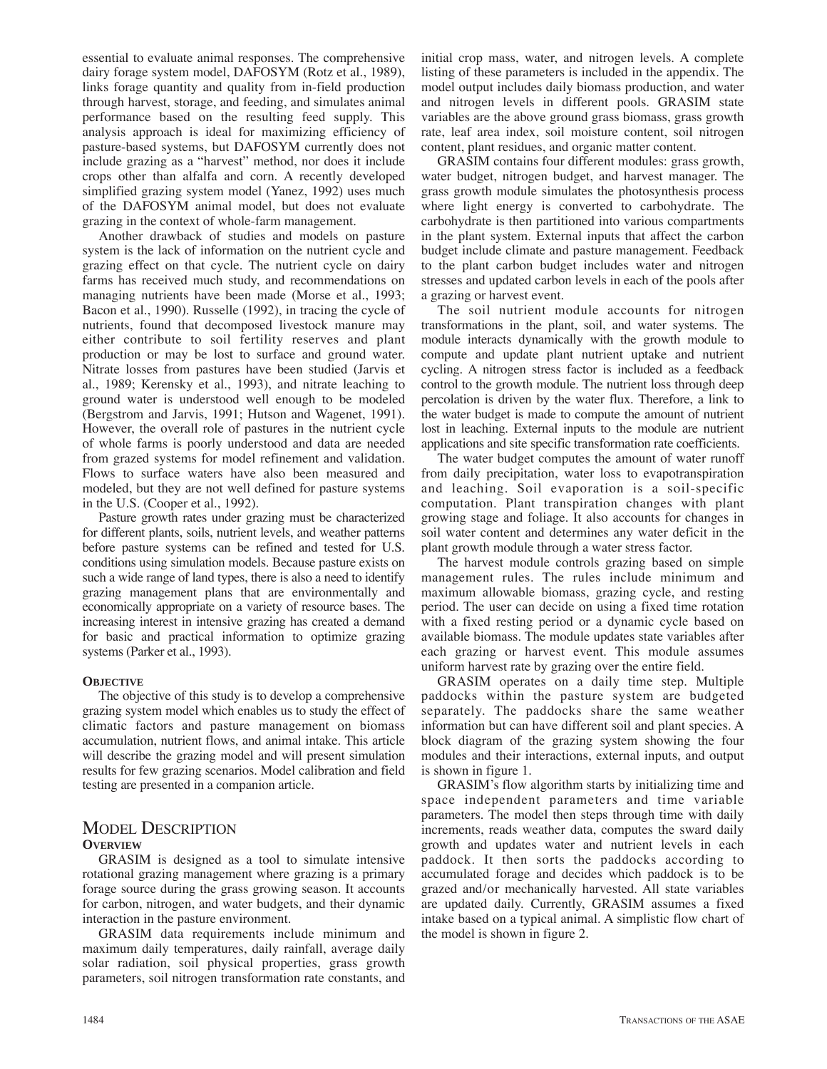essential to evaluate animal responses. The comprehensive dairy forage system model, DAFOSYM (Rotz et al., 1989), links forage quantity and quality from in-field production through harvest, storage, and feeding, and simulates animal performance based on the resulting feed supply. This analysis approach is ideal for maximizing efficiency of pasture-based systems, but DAFOSYM currently does not include grazing as a "harvest" method, nor does it include crops other than alfalfa and corn. A recently developed simplified grazing system model (Yanez, 1992) uses much of the DAFOSYM animal model, but does not evaluate grazing in the context of whole-farm management.

Another drawback of studies and models on pasture system is the lack of information on the nutrient cycle and grazing effect on that cycle. The nutrient cycle on dairy farms has received much study, and recommendations on managing nutrients have been made (Morse et al., 1993; Bacon et al., 1990). Russelle (1992), in tracing the cycle of nutrients, found that decomposed livestock manure may either contribute to soil fertility reserves and plant production or may be lost to surface and ground water. Nitrate losses from pastures have been studied (Jarvis et al., 1989; Kerensky et al., 1993), and nitrate leaching to ground water is understood well enough to be modeled (Bergstrom and Jarvis, 1991; Hutson and Wagenet, 1991). However, the overall role of pastures in the nutrient cycle of whole farms is poorly understood and data are needed from grazed systems for model refinement and validation. Flows to surface waters have also been measured and modeled, but they are not well defined for pasture systems in the U.S. (Cooper et al., 1992).

Pasture growth rates under grazing must be characterized for different plants, soils, nutrient levels, and weather patterns before pasture systems can be refined and tested for U.S. conditions using simulation models. Because pasture exists on such a wide range of land types, there is also a need to identify grazing management plans that are environmentally and economically appropriate on a variety of resource bases. The increasing interest in intensive grazing has created a demand for basic and practical information to optimize grazing systems (Parker et al., 1993).

#### **OBJECTIVE**

The objective of this study is to develop a comprehensive grazing system model which enables us to study the effect of climatic factors and pasture management on biomass accumulation, nutrient flows, and animal intake. This article will describe the grazing model and will present simulation results for few grazing scenarios. Model calibration and field testing are presented in a companion article.

### MODEL DESCRIPTION **OVERVIEW**

GRASIM is designed as a tool to simulate intensive rotational grazing management where grazing is a primary forage source during the grass growing season. It accounts for carbon, nitrogen, and water budgets, and their dynamic interaction in the pasture environment.

GRASIM data requirements include minimum and maximum daily temperatures, daily rainfall, average daily solar radiation, soil physical properties, grass growth parameters, soil nitrogen transformation rate constants, and

initial crop mass, water, and nitrogen levels. A complete listing of these parameters is included in the appendix. The model output includes daily biomass production, and water and nitrogen levels in different pools. GRASIM state variables are the above ground grass biomass, grass growth rate, leaf area index, soil moisture content, soil nitrogen content, plant residues, and organic matter content.

GRASIM contains four different modules: grass growth, water budget, nitrogen budget, and harvest manager. The grass growth module simulates the photosynthesis process where light energy is converted to carbohydrate. The carbohydrate is then partitioned into various compartments in the plant system. External inputs that affect the carbon budget include climate and pasture management. Feedback to the plant carbon budget includes water and nitrogen stresses and updated carbon levels in each of the pools after a grazing or harvest event.

The soil nutrient module accounts for nitrogen transformations in the plant, soil, and water systems. The module interacts dynamically with the growth module to compute and update plant nutrient uptake and nutrient cycling. A nitrogen stress factor is included as a feedback control to the growth module. The nutrient loss through deep percolation is driven by the water flux. Therefore, a link to the water budget is made to compute the amount of nutrient lost in leaching. External inputs to the module are nutrient applications and site specific transformation rate coefficients.

The water budget computes the amount of water runoff from daily precipitation, water loss to evapotranspiration and leaching. Soil evaporation is a soil-specific computation. Plant transpiration changes with plant growing stage and foliage. It also accounts for changes in soil water content and determines any water deficit in the plant growth module through a water stress factor.

The harvest module controls grazing based on simple management rules. The rules include minimum and maximum allowable biomass, grazing cycle, and resting period. The user can decide on using a fixed time rotation with a fixed resting period or a dynamic cycle based on available biomass. The module updates state variables after each grazing or harvest event. This module assumes uniform harvest rate by grazing over the entire field.

GRASIM operates on a daily time step. Multiple paddocks within the pasture system are budgeted separately. The paddocks share the same weather information but can have different soil and plant species. A block diagram of the grazing system showing the four modules and their interactions, external inputs, and output is shown in figure 1.

GRASIM's flow algorithm starts by initializing time and space independent parameters and time variable parameters. The model then steps through time with daily increments, reads weather data, computes the sward daily growth and updates water and nutrient levels in each paddock. It then sorts the paddocks according to accumulated forage and decides which paddock is to be grazed and/or mechanically harvested. All state variables are updated daily. Currently, GRASIM assumes a fixed intake based on a typical animal. A simplistic flow chart of the model is shown in figure 2.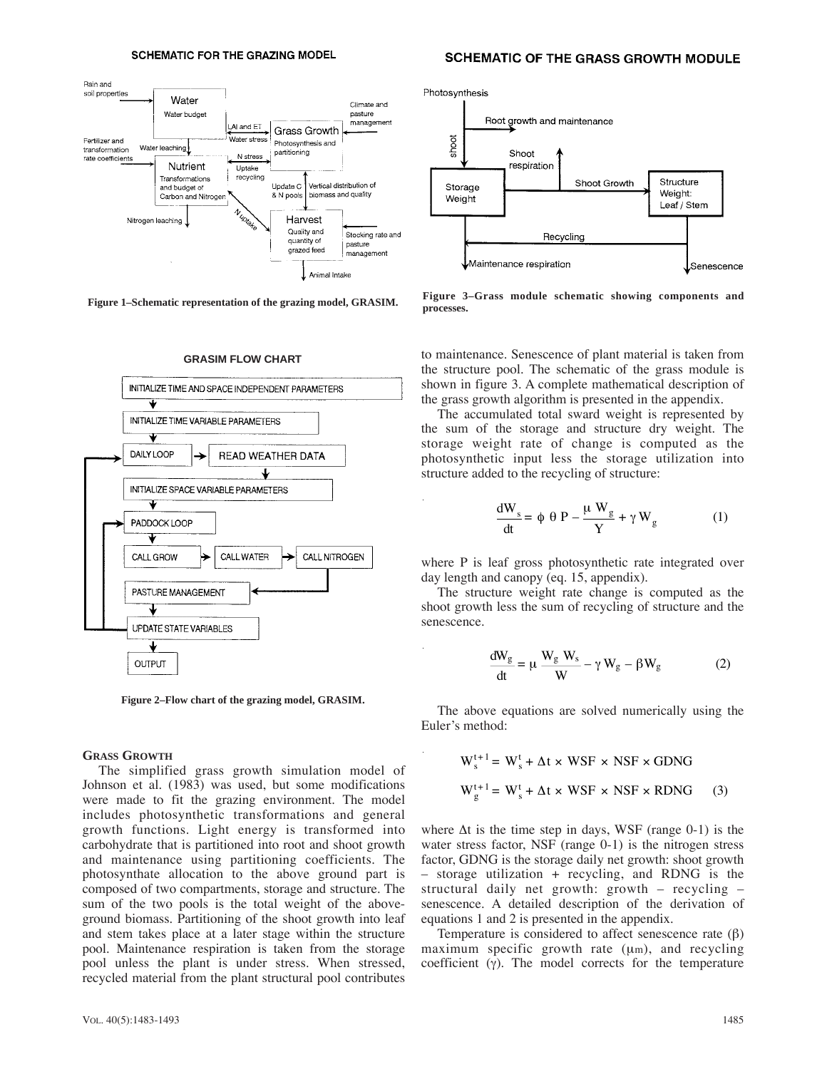#### **SCHEMATIC FOR THE GRAZING MODEL**



**Figure 1–Schematic representation of the grazing model, GRASIM.**



**Figure 2–Flow chart of the grazing model, GRASIM.**

#### **GRASS GROWTH**

The simplified grass growth simulation model of Johnson et al. (1983) was used, but some modifications were made to fit the grazing environment. The model includes photosynthetic transformations and general growth functions. Light energy is transformed into carbohydrate that is partitioned into root and shoot growth and maintenance using partitioning coefficients. The photosynthate allocation to the above ground part is composed of two compartments, storage and structure. The sum of the two pools is the total weight of the aboveground biomass. Partitioning of the shoot growth into leaf and stem takes place at a later stage within the structure pool. Maintenance respiration is taken from the storage pool unless the plant is under stress. When stressed, recycled material from the plant structural pool contributes



**Figure 3–Grass module schematic showing components and processes.**

to maintenance. Senescence of plant material is taken from the structure pool. The schematic of the grass module is shown in figure 3. A complete mathematical description of the grass growth algorithm is presented in the appendix.

The accumulated total sward weight is represented by the sum of the storage and structure dry weight. The storage weight rate of change is computed as the photosynthetic input less the storage utilization into structure added to the recycling of structure:

$$
\frac{dW_s}{dt} = \phi \ \theta \ P - \frac{\mu \ W_g}{Y} + \gamma \ W_g \tag{1}
$$

where P is leaf gross photosynthetic rate integrated over day length and canopy (eq. 15, appendix).

The structure weight rate change is computed as the shoot growth less the sum of recycling of structure and the senescence.

$$
\frac{dW_g}{dt} = \mu \frac{W_g W_s}{W} - \gamma W_g - \beta W_g \tag{2}
$$

The above equations are solved numerically using the Euler's method:

$$
W_s^{t+1} = W_s^t + \Delta t \times WSF \times NSF \times GDNG
$$
  

$$
W_g^{t+1} = W_s^t + \Delta t \times WSF \times NSF \times RDNG
$$
 (3)

where  $\Delta t$  is the time step in days, WSF (range 0-1) is the water stress factor, NSF (range 0-1) is the nitrogen stress factor, GDNG is the storage daily net growth: shoot growth – storage utilization + recycling, and RDNG is the structural daily net growth: growth – recycling – senescence. A detailed description of the derivation of equations 1 and 2 is presented in the appendix.

Temperature is considered to affect senescence rate  $(\beta)$ maximum specific growth rate  $(\mu_m)$ , and recycling coefficient (γ). The model corrects for the temperature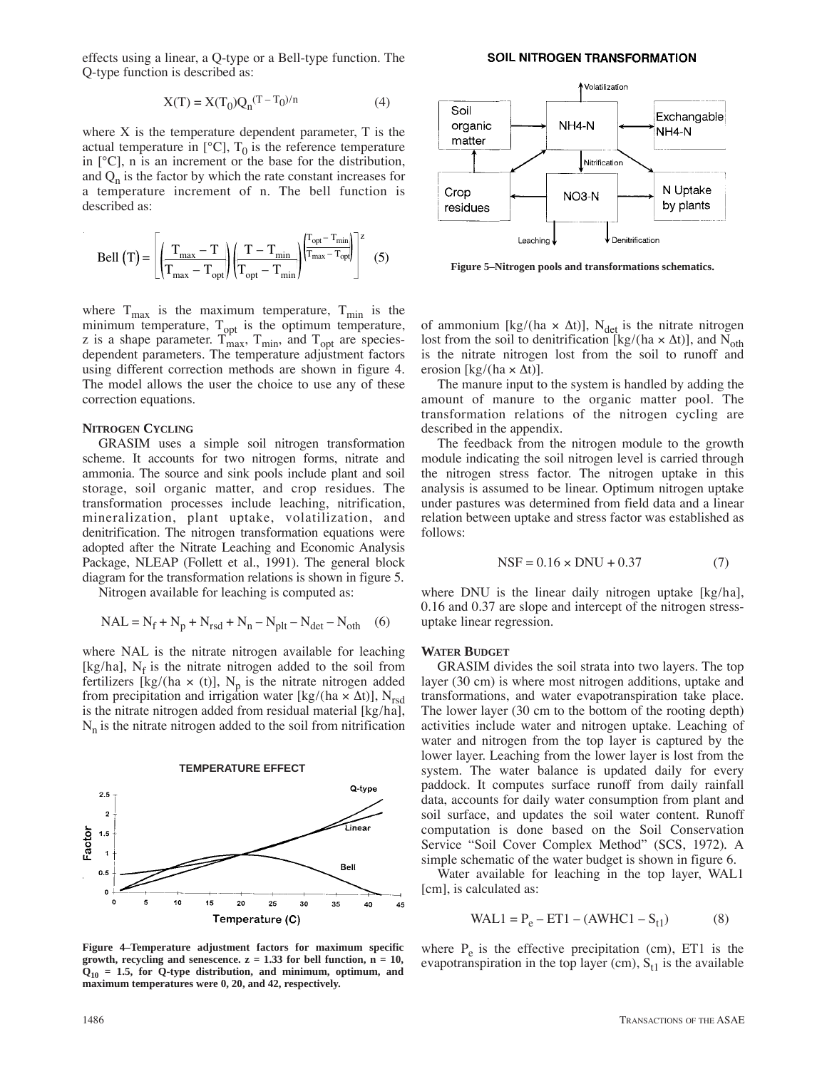effects using a linear, a Q-type or a Bell-type function. The Q-type function is described as:

$$
X(T) = X(T_0)Q_n^{(T - T_0)/n}
$$
 (4)

where  $X$  is the temperature dependent parameter,  $T$  is the actual temperature in  $[°C]$ ,  $T_0$  is the reference temperature in [°C], n is an increment or the base for the distribution, and  $Q_n$  is the factor by which the rate constant increases for a temperature increment of n. The bell function is described as:

$$
Bell (T) = \left[ \left( \frac{T_{\text{max}} - T}{T_{\text{max}} - T_{\text{opt}}} \right) \left( \frac{T - T_{\text{min}}}{T_{\text{opt}} - T_{\text{min}}} \right)^{\left[ \frac{T_{\text{opt}} - T_{\text{min}}}{T_{\text{max}} - T_{\text{opt}}} \right]^2} \right]
$$
(5)

where  $T_{\text{max}}$  is the maximum temperature,  $T_{\text{min}}$  is the minimum temperature,  $T_{opt}$  is the optimum temperature, z is a shape parameter.  $T_{\text{max}}$ ,  $T_{\text{min}}$ , and  $T_{\text{opt}}$  are speciesdependent parameters. The temperature adjustment factors using different correction methods are shown in figure 4. The model allows the user the choice to use any of these correction equations.

#### **NITROGEN CYCLING**

GRASIM uses a simple soil nitrogen transformation scheme. It accounts for two nitrogen forms, nitrate and ammonia. The source and sink pools include plant and soil storage, soil organic matter, and crop residues. The transformation processes include leaching, nitrification, mineralization, plant uptake, volatilization, and denitrification. The nitrogen transformation equations were adopted after the Nitrate Leaching and Economic Analysis Package, NLEAP (Follett et al., 1991). The general block diagram for the transformation relations is shown in figure 5.

Nitrogen available for leaching is computed as:

$$
NAL = N_f + N_p + N_{rsd} + N_n - N_{plt} - N_{det} - N_{oth}
$$
 (6)

where NAL is the nitrate nitrogen available for leaching [kg/ha],  $N_f$  is the nitrate nitrogen added to the soil from fertilizers [kg/(ha  $\times$  (t)], N<sub>p</sub> is the nitrate nitrogen added from precipitation and irrigation water [kg/(ha  $\times \Delta t$ )], N<sub>rsd</sub> is the nitrate nitrogen added from residual material [kg/ha],  $N_n$  is the nitrate nitrogen added to the soil from nitrification



#### **TEMPERATURE EFFECT**

**Figure 4–Temperature adjustment factors for maximum specific growth, recycling and senescence. z = 1.33 for bell function, n = 10, Q10 = 1.5, for Q-type distribution, and minimum, optimum, and maximum temperatures were 0, 20, and 42, respectively.**

# **SOIL NITROGEN TRANSFORMATION**



**Figure 5–Nitrogen pools and transformations schematics.**

of ammonium [kg/(ha  $\times \Delta t$ )], N<sub>det</sub> is the nitrate nitrogen lost from the soil to denitrification [kg/(ha  $\times$   $\Delta t$ )], and N<sub>oth</sub> is the nitrate nitrogen lost from the soil to runoff and erosion  $[kg/(\text{ha} \times \Delta t)].$ 

The manure input to the system is handled by adding the amount of manure to the organic matter pool. The transformation relations of the nitrogen cycling are described in the appendix.

The feedback from the nitrogen module to the growth module indicating the soil nitrogen level is carried through the nitrogen stress factor. The nitrogen uptake in this analysis is assumed to be linear. Optimum nitrogen uptake under pastures was determined from field data and a linear relation between uptake and stress factor was established as follows:

$$
NSF = 0.16 \times DNU + 0.37
$$
 (7)

where DNU is the linear daily nitrogen uptake [kg/ha], 0.16 and 0.37 are slope and intercept of the nitrogen stressuptake linear regression.

#### **WATER BUDGET**

GRASIM divides the soil strata into two layers. The top layer (30 cm) is where most nitrogen additions, uptake and transformations, and water evapotranspiration take place. The lower layer (30 cm to the bottom of the rooting depth) activities include water and nitrogen uptake. Leaching of water and nitrogen from the top layer is captured by the lower layer. Leaching from the lower layer is lost from the system. The water balance is updated daily for every paddock. It computes surface runoff from daily rainfall data, accounts for daily water consumption from plant and soil surface, and updates the soil water content. Runoff computation is done based on the Soil Conservation Service "Soil Cover Complex Method" (SCS, 1972)*.* A simple schematic of the water budget is shown in figure 6.

Water available for leaching in the top layer, WAL1 [cm], is calculated as:

WAL1 = Pe – ET1 – (AWHC1 – St1) (8)

where  $P_e$  is the effective precipitation (cm), ET1 is the evapotranspiration in the top layer (cm),  $S_{t1}$  is the available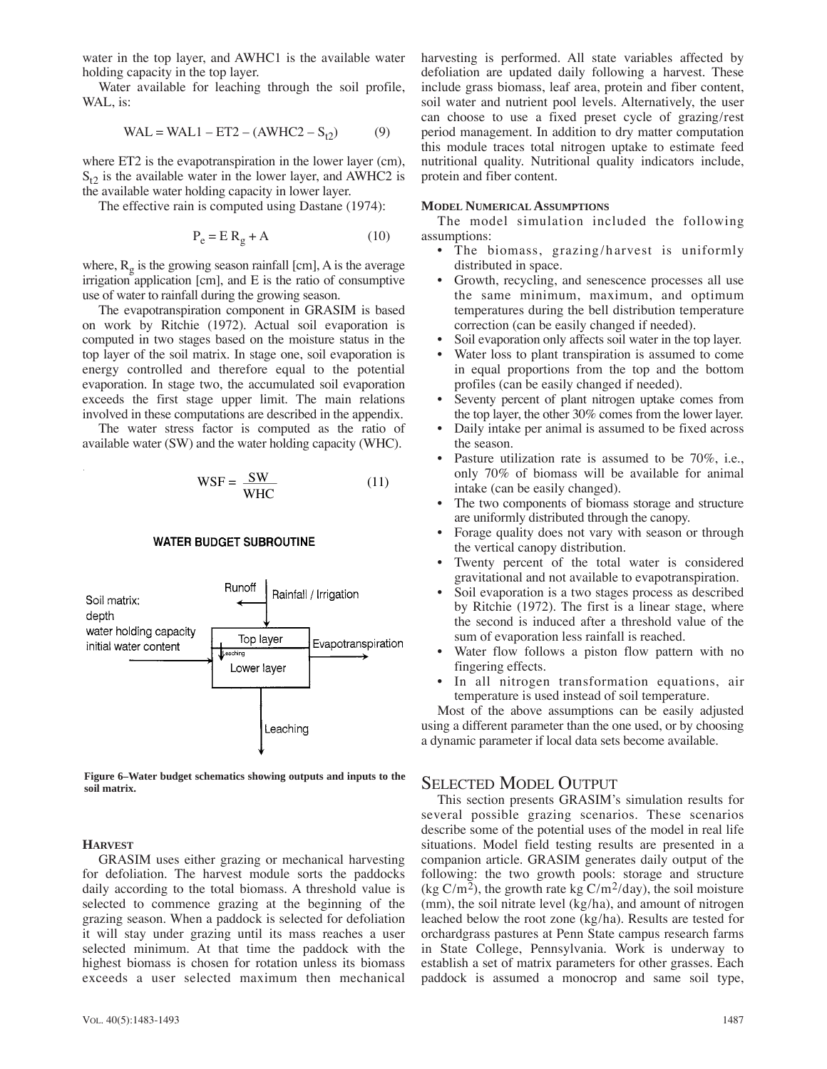water in the top layer, and AWHC1 is the available water holding capacity in the top layer.

Water available for leaching through the soil profile, WAL, is:

$$
WAL = WAL1 - ET2 - (AWHC2 - S_{t2})
$$
 (9)

where ET2 is the evapotranspiration in the lower layer (cm),  $S_{12}$  is the available water in the lower layer, and AWHC2 is the available water holding capacity in lower layer.

The effective rain is computed using Dastane (1974):

$$
P_e = E R_g + A \tag{10}
$$

where,  $R_{\alpha}$  is the growing season rainfall [cm], A is the average irrigation application [cm], and E is the ratio of consumptive use of water to rainfall during the growing season.

The evapotranspiration component in GRASIM is based on work by Ritchie (1972). Actual soil evaporation is computed in two stages based on the moisture status in the top layer of the soil matrix. In stage one, soil evaporation is energy controlled and therefore equal to the potential evaporation. In stage two, the accumulated soil evaporation exceeds the first stage upper limit. The main relations involved in these computations are described in the appendix.

The water stress factor is computed as the ratio of available water (SW) and the water holding capacity (WHC).

$$
WSF = \frac{SW}{WHC}
$$
 (11)

#### **WATER BUDGET SUBROUTINE**



**Figure 6–Water budget schematics showing outputs and inputs to the soil matrix.**

#### **HARVEST**

GRASIM uses either grazing or mechanical harvesting for defoliation. The harvest module sorts the paddocks daily according to the total biomass. A threshold value is selected to commence grazing at the beginning of the grazing season. When a paddock is selected for defoliation it will stay under grazing until its mass reaches a user selected minimum. At that time the paddock with the highest biomass is chosen for rotation unless its biomass exceeds a user selected maximum then mechanical

harvesting is performed. All state variables affected by defoliation are updated daily following a harvest. These include grass biomass, leaf area, protein and fiber content, soil water and nutrient pool levels. Alternatively, the user can choose to use a fixed preset cycle of grazing/rest period management. In addition to dry matter computation this module traces total nitrogen uptake to estimate feed nutritional quality. Nutritional quality indicators include, protein and fiber content.

#### **MODEL NUMERICAL ASSUMPTIONS**

The model simulation included the following assumptions:

- The biomass, grazing/harvest is uniformly distributed in space.
- Growth, recycling, and senescence processes all use the same minimum, maximum, and optimum temperatures during the bell distribution temperature correction (can be easily changed if needed).
- Soil evaporation only affects soil water in the top layer.
- Water loss to plant transpiration is assumed to come in equal proportions from the top and the bottom profiles (can be easily changed if needed).
- Seventy percent of plant nitrogen uptake comes from the top layer, the other 30% comes from the lower layer.
- Daily intake per animal is assumed to be fixed across the season.
- Pasture utilization rate is assumed to be 70%, i.e., only 70% of biomass will be available for animal intake (can be easily changed).
- The two components of biomass storage and structure are uniformly distributed through the canopy.
- Forage quality does not vary with season or through the vertical canopy distribution.
- Twenty percent of the total water is considered gravitational and not available to evapotranspiration.
- Soil evaporation is a two stages process as described by Ritchie (1972). The first is a linear stage, where the second is induced after a threshold value of the sum of evaporation less rainfall is reached.
- Water flow follows a piston flow pattern with no fingering effects.
- In all nitrogen transformation equations, air temperature is used instead of soil temperature.

Most of the above assumptions can be easily adjusted using a different parameter than the one used, or by choosing a dynamic parameter if local data sets become available.

# SELECTED MODEL OUTPUT

This section presents GRASIM's simulation results for several possible grazing scenarios. These scenarios describe some of the potential uses of the model in real life situations. Model field testing results are presented in a companion article. GRASIM generates daily output of the following: the two growth pools: storage and structure (kg C/m<sup>2</sup>), the growth rate kg C/m<sup>2</sup>/day), the soil moisture (mm), the soil nitrate level (kg/ha), and amount of nitrogen leached below the root zone (kg/ha). Results are tested for orchardgrass pastures at Penn State campus research farms in State College, Pennsylvania. Work is underway to establish a set of matrix parameters for other grasses. Each paddock is assumed a monocrop and same soil type,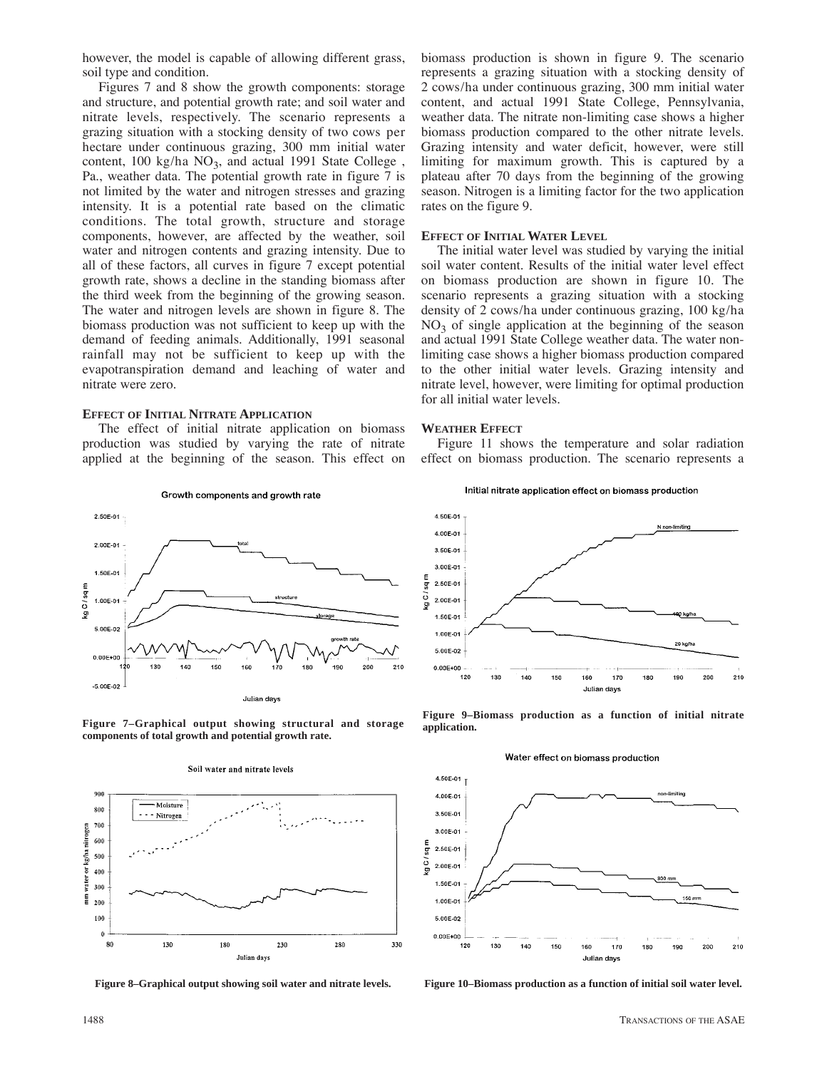however, the model is capable of allowing different grass, soil type and condition.

Figures 7 and 8 show the growth components: storage and structure, and potential growth rate; and soil water and nitrate levels, respectively. The scenario represents a grazing situation with a stocking density of two cows per hectare under continuous grazing, 300 mm initial water content, 100 kg/ha NO<sub>3</sub>, and actual 1991 State College, Pa., weather data. The potential growth rate in figure 7 is not limited by the water and nitrogen stresses and grazing intensity. It is a potential rate based on the climatic conditions. The total growth, structure and storage components, however, are affected by the weather, soil water and nitrogen contents and grazing intensity. Due to all of these factors, all curves in figure 7 except potential growth rate, shows a decline in the standing biomass after the third week from the beginning of the growing season. The water and nitrogen levels are shown in figure 8. The biomass production was not sufficient to keep up with the demand of feeding animals. Additionally, 1991 seasonal rainfall may not be sufficient to keep up with the evapotranspiration demand and leaching of water and nitrate were zero.

#### **EFFECT OF INITIAL NITRATE APPLICATION**

The effect of initial nitrate application on biomass production was studied by varying the rate of nitrate applied at the beginning of the season. This effect on biomass production is shown in figure 9. The scenario represents a grazing situation with a stocking density of 2 cows/ha under continuous grazing, 300 mm initial water content, and actual 1991 State College, Pennsylvania, weather data. The nitrate non-limiting case shows a higher biomass production compared to the other nitrate levels. Grazing intensity and water deficit, however, were still limiting for maximum growth. This is captured by a plateau after 70 days from the beginning of the growing season. Nitrogen is a limiting factor for the two application rates on the figure 9.

#### **EFFECT OF INITIAL WATER LEVEL**

The initial water level was studied by varying the initial soil water content. Results of the initial water level effect on biomass production are shown in figure 10. The scenario represents a grazing situation with a stocking density of 2 cows/ha under continuous grazing, 100 kg/ha  $NO<sub>3</sub>$  of single application at the beginning of the season and actual 1991 State College weather data. The water nonlimiting case shows a higher biomass production compared to the other initial water levels. Grazing intensity and nitrate level, however, were limiting for optimal production for all initial water levels.

#### **WEATHER EFFECT**

Figure 11 shows the temperature and solar radiation effect on biomass production. The scenario represents a



**Figure 7–Graphical output showing structural and storage components of total growth and potential growth rate.**



Soil water and nitrate levels

**Figure 8–Graphical output showing soil water and nitrate levels.**

Initial nitrate application effect on biomass production



**Figure 9–Biomass production as a function of initial nitrate application.**

Water effect on biomass production



**Figure 10–Biomass production as a function of initial soil water level.**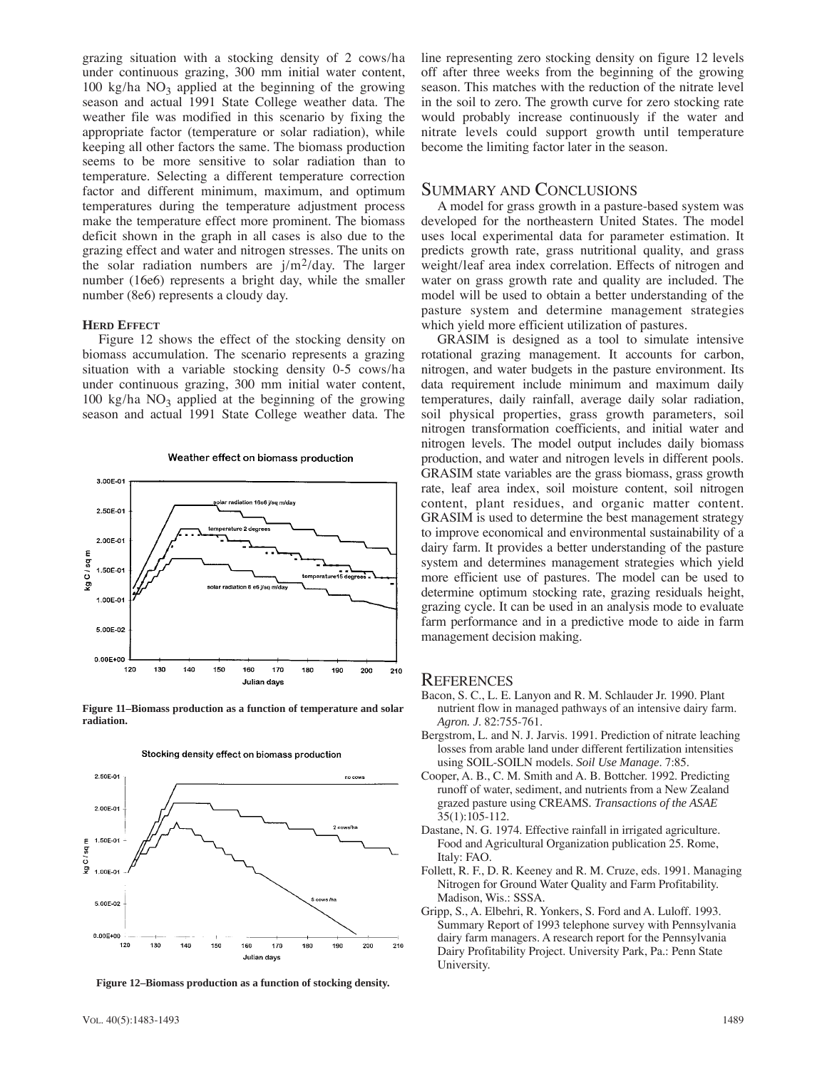grazing situation with a stocking density of 2 cows/ha under continuous grazing, 300 mm initial water content, 100 kg/ha  $NO_3$  applied at the beginning of the growing season and actual 1991 State College weather data. The weather file was modified in this scenario by fixing the appropriate factor (temperature or solar radiation), while keeping all other factors the same. The biomass production seems to be more sensitive to solar radiation than to temperature. Selecting a different temperature correction factor and different minimum, maximum, and optimum temperatures during the temperature adjustment process make the temperature effect more prominent. The biomass deficit shown in the graph in all cases is also due to the grazing effect and water and nitrogen stresses. The units on the solar radiation numbers are  $j/m^2$ /day. The larger number (16e6) represents a bright day, while the smaller number (8e6) represents a cloudy day.

#### **HERD EFFECT**

Figure 12 shows the effect of the stocking density on biomass accumulation. The scenario represents a grazing situation with a variable stocking density 0-5 cows/ha under continuous grazing, 300 mm initial water content, 100 kg/ha  $NO_3$  applied at the beginning of the growing season and actual 1991 State College weather data. The



Weather effect on biomass production

**Figure 11–Biomass production as a function of temperature and solar radiation.**



Stocking density effect on biomass production

**Figure 12–Biomass production as a function of stocking density.**

line representing zero stocking density on figure 12 levels off after three weeks from the beginning of the growing season. This matches with the reduction of the nitrate level in the soil to zero. The growth curve for zero stocking rate would probably increase continuously if the water and nitrate levels could support growth until temperature become the limiting factor later in the season.

# SUMMARY AND CONCLUSIONS

A model for grass growth in a pasture-based system was developed for the northeastern United States. The model uses local experimental data for parameter estimation. It predicts growth rate, grass nutritional quality, and grass weight/leaf area index correlation. Effects of nitrogen and water on grass growth rate and quality are included. The model will be used to obtain a better understanding of the pasture system and determine management strategies which yield more efficient utilization of pastures.

GRASIM is designed as a tool to simulate intensive rotational grazing management. It accounts for carbon, nitrogen, and water budgets in the pasture environment. Its data requirement include minimum and maximum daily temperatures, daily rainfall, average daily solar radiation, soil physical properties, grass growth parameters, soil nitrogen transformation coefficients, and initial water and nitrogen levels. The model output includes daily biomass production, and water and nitrogen levels in different pools. GRASIM state variables are the grass biomass, grass growth rate, leaf area index, soil moisture content, soil nitrogen content, plant residues, and organic matter content. GRASIM is used to determine the best management strategy to improve economical and environmental sustainability of a dairy farm. It provides a better understanding of the pasture system and determines management strategies which yield more efficient use of pastures. The model can be used to determine optimum stocking rate, grazing residuals height, grazing cycle. It can be used in an analysis mode to evaluate farm performance and in a predictive mode to aide in farm management decision making.

#### **REFERENCES**

- Bacon, S. C., L. E. Lanyon and R. M. Schlauder Jr. 1990. Plant nutrient flow in managed pathways of an intensive dairy farm. *Agron. J*. 82:755-761.
- Bergstrom, L. and N. J. Jarvis. 1991. Prediction of nitrate leaching losses from arable land under different fertilization intensities using SOIL-SOILN models. *Soil Use Manage*. 7:85.
- Cooper, A. B., C. M. Smith and A. B. Bottcher. 1992. Predicting runoff of water, sediment, and nutrients from a New Zealand grazed pasture using CREAMS*. Transactions of the ASAE* 35(1):105-112.
- Dastane, N. G. 1974. Effective rainfall in irrigated agriculture. Food and Agricultural Organization publication 25. Rome, Italy: FAO.
- Follett, R. F., D. R. Keeney and R. M. Cruze, eds. 1991. Managing Nitrogen for Ground Water Quality and Farm Profitability. Madison, Wis.: SSSA.
- Gripp, S., A. Elbehri, R. Yonkers, S. Ford and A. Luloff. 1993. Summary Report of 1993 telephone survey with Pennsylvania dairy farm managers. A research report for the Pennsylvania Dairy Profitability Project. University Park, Pa.: Penn State University.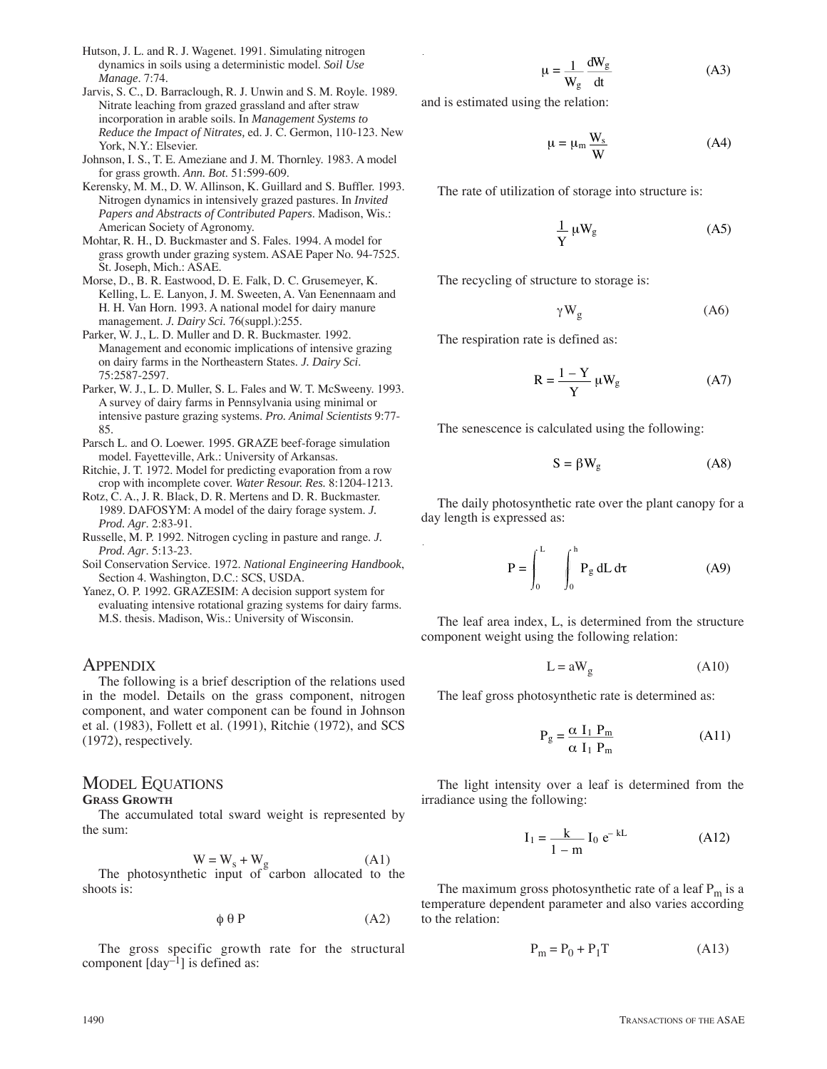Hutson, J. L. and R. J. Wagenet. 1991. Simulating nitrogen dynamics in soils using a deterministic model. *Soil Use Manage*. 7:74.

Jarvis, S. C., D. Barraclough, R. J. Unwin and S. M. Royle. 1989. Nitrate leaching from grazed grassland and after straw incorporation in arable soils. In *Management Systems to Reduce the Impact of Nitrates,* ed. J. C. Germon, 110-123. New York, N.Y.: Elsevier.

Johnson, I. S., T. E. Ameziane and J. M. Thornley. 1983. A model for grass growth. *Ann. Bot*. 51:599-609.

Kerensky, M. M., D. W. Allinson, K. Guillard and S. Buffler. 1993. Nitrogen dynamics in intensively grazed pastures. In *Invited Papers and Abstracts of Contributed Papers*. Madison, Wis.: American Society of Agronomy.

Mohtar, R. H., D. Buckmaster and S. Fales. 1994. A model for grass growth under grazing system. ASAE Paper No. 94-7525. St. Joseph, Mich.: ASAE.

Morse, D., B. R. Eastwood, D. E. Falk, D. C. Grusemeyer, K. Kelling, L. E. Lanyon, J. M. Sweeten, A. Van Eenennaam and H. H. Van Horn. 1993. A national model for dairy manure management. *J. Dairy Sci.* 76(suppl.):255.

Parker, W. J., L. D. Muller and D. R. Buckmaster. 1992. Management and economic implications of intensive grazing on dairy farms in the Northeastern States. *J. Dairy Sci*. 75:2587-2597.

Parker, W. J., L. D. Muller, S. L. Fales and W. T. McSweeny. 1993. A survey of dairy farms in Pennsylvania using minimal or intensive pasture grazing systems. *Pro. Animal Scientists* 9:77- 85.

Parsch L. and O. Loewer. 1995. GRAZE beef-forage simulation model. Fayetteville, Ark.: University of Arkansas.

Ritchie, J. T. 1972. Model for predicting evaporation from a row crop with incomplete cover. *Water Resour. Res.* 8:1204-1213.

Rotz, C. A., J. R. Black, D. R. Mertens and D. R. Buckmaster. 1989. DAFOSYM: A model of the dairy forage system. *J. Prod. Agr*. 2:83-91.

Russelle, M. P. 1992. Nitrogen cycling in pasture and range. *J. Prod. Agr*. 5:13-23.

Soil Conservation Service. 1972. *National Engineering Handbook*, Section 4. Washington, D.C.: SCS, USDA.

Yanez, O. P. 1992. GRAZESIM: A decision support system for evaluating intensive rotational grazing systems for dairy farms. M.S. thesis. Madison, Wis.: University of Wisconsin.

#### **APPENDIX**

The following is a brief description of the relations used in the model. Details on the grass component, nitrogen component, and water component can be found in Johnson et al. (1983), Follett et al. (1991), Ritchie (1972), and SCS (1972), respectively.

# MODEL EQUATIONS

### **GRASS GROWTH**

The accumulated total sward weight is represented by the sum:

$$
W = W_s + W_g \tag{A1}
$$

The photosynthetic input of carbon allocated to the shoots is:

$$
\phi \theta P \tag{A2}
$$

The gross specific growth rate for the structural component  $\lfloor \text{day}^{-1} \rfloor$  is defined as:

$$
\mu = \frac{1}{W_g} \frac{dW_g}{dt} \tag{A3}
$$

and is estimated using the relation:

$$
\mu = \mu_{\rm m} \frac{W_{\rm s}}{W} \tag{A4}
$$

The rate of utilization of storage into structure is:

$$
\frac{1}{Y} \mu W_g \tag{A5}
$$

The recycling of structure to storage is:

$$
\gamma W_g \tag{A6}
$$

The respiration rate is defined as:

$$
R = \frac{1 - Y}{Y} \mu W_g \tag{A7}
$$

The senescence is calculated using the following:

$$
S = \beta W_g \tag{A8}
$$

The daily photosynthetic rate over the plant canopy for a day length is expressed as:

$$
P = \int_0^L \int_0^h P_g dL d\tau
$$
 (A9)

The leaf area index, L, is determined from the structure component weight using the following relation:

$$
L = aW_g \tag{A10}
$$

The leaf gross photosynthetic rate is determined as:

$$
P_g = \frac{\alpha I_1 P_m}{\alpha I_1 P_m}
$$
 (A11)

The light intensity over a leaf is determined from the irradiance using the following:

$$
I_1 = \frac{k}{1-m} I_0 e^{-kL}
$$
 (A12)

The maximum gross photosynthetic rate of a leaf  $P_m$  is a temperature dependent parameter and also varies according to the relation:

$$
P_m = P_0 + P_1 T \tag{A13}
$$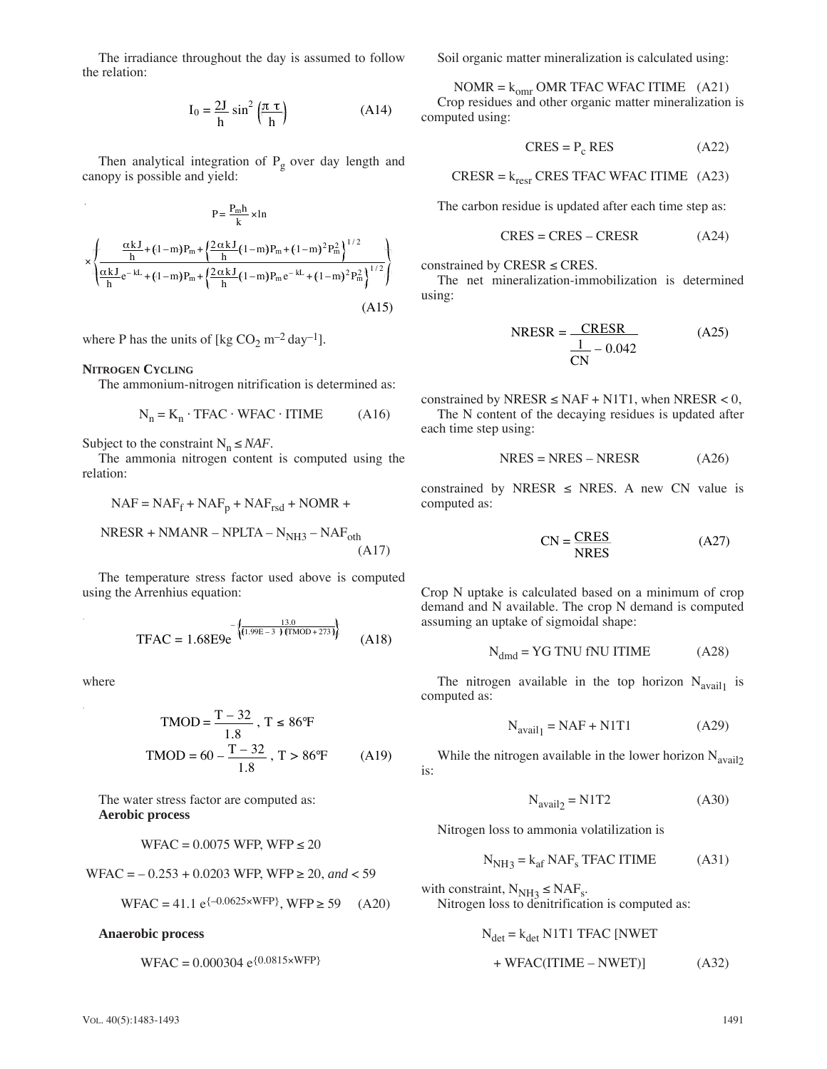The irradiance throughout the day is assumed to follow the relation:

$$
I_0 = \frac{2J}{h} \sin^2 \left(\frac{\pi \tau}{h}\right) \tag{A14}
$$

Then analytical integration of  $P_g$  over day length and canopy is possible and yield:

$$
P = \frac{P_m h}{k} \times ln
$$
\n
$$
\times \left\{ \frac{\frac{\alpha k J}{h} + (1 - m)P_m + \left\{ \frac{2 \alpha k J}{h} (1 - m)P_m + (1 - m)^2 P_m^2 \right\}^{1/2}}{ \frac{\alpha k J}{h} e^{-kL} + (1 - m)P_m + \left\{ \frac{2 \alpha k J}{h} (1 - m)P_m e^{-kL} + (1 - m)^2 P_m^2 \right\}^{1/2}} \right\}
$$
\n(A15)

where P has the units of [kg  $CO_2$  m<sup>-2</sup> day<sup>-1</sup>].

#### **NITROGEN CYCLING**

The ammonium-nitrogen nitrification is determined as:

$$
N_n = K_n \cdot \text{TFAC} \cdot \text{WFAC} \cdot \text{ITIME} \tag{A16}
$$

Subject to the constraint  $N_n \leq NAF$ .

The ammonia nitrogen content is computed using the relation:

$$
NAF = NAF_f + NAF_p + NAF_{rsd} + NOMR +
$$
  

$$
NRESR + NMANR - NPLTA - NNH3 - NAFoth
$$
  
(A17)

The temperature stress factor used above is computed using the Arrenhius equation:

$$
\text{TFAC} = 1.68\text{E9e}^{-\left\{\frac{13.0}{(1.99\text{E}-3)\cdot(\text{TMOD}+273)}\right\}} \tag{A18}
$$

where

$$
TMOD = \frac{T - 32}{1.8}, T \le 86°F
$$
  
TMOD = 60 -  $\frac{T - 32}{1.8}$ , T > 86°F (A19)

The water stress factor are computed as: **Aerobic process**

$$
WFAC = 0.0075 WFP, WFP \le 20
$$

WFAC = – 0.253 + 0.0203 WFP, WFP ≥ 20, *and* < 59

$$
WFAC = 41.1 e^{-0.0625 \times WFP}
$$
,  $WFP \ge 59$  (A20)

#### **Anaerobic process**

$$
WFAC = 0.000304 e^{0.0815 \times WFP}
$$

Soil organic matter mineralization is calculated using:

$$
NOMR = k_{omr} OMR TFAC WFAC ITIME (A21)
$$

Crop residues and other organic matter mineralization is computed using:

$$
CRES = P_c RES
$$
 (A22)

 $CRESR = k_{resr} CRES TFAC WFAC ITIME (A23)$ 

The carbon residue is updated after each time step as:

$$
CRES = CRES - CRESR
$$
 (A24)

constrained by CRESR  $\leq$  CRES.

The net mineralization-immobilization is determined using:

$$
NRESR = \frac{CRESR}{\frac{1}{CN} - 0.042}
$$
 (A25)

constrained by NRESR  $\leq$  NAF + N1T1, when NRESR  $<$  0,

The N content of the decaying residues is updated after each time step using:

$$
NRES = NRES - NRESR \t(A26)
$$

constrained by NRESR  $\leq$  NRES. A new CN value is computed as:

$$
CN = \frac{CRES}{NRES}
$$
 (A27)

Crop N uptake is calculated based on a minimum of crop demand and N available. The crop N demand is computed assuming an uptake of sigmoidal shape:

$$
N_{\text{dmd}} = YG \text{ TNU fNU ITIME} \tag{A28}
$$

The nitrogen available in the top horizon  $N_{\text{avail1}}$  is computed as:

$$
N_{\text{avail1}} = \text{NAF} + \text{N1T1} \tag{A29}
$$

While the nitrogen available in the lower horizon  $N_{\text{avail}}$ is:

$$
N_{\text{avail}_2} = N1T2\tag{A30}
$$

Nitrogen loss to ammonia volatilization is

$$
N_{NH3} = k_{af} NAF_s TFAC ITIME
$$
 (A31)

with constraint,  $N_{NH3} \leq NAF_s$ . Nitrogen loss to denitrification is computed as:

$$
N_{\text{det}} = k_{\text{det}} N1T1 \text{ TFAC} \text{ [NWET} + \text{WFAC} \text{(ITIME} - \text{NWET)} \text{]} \tag{A32}
$$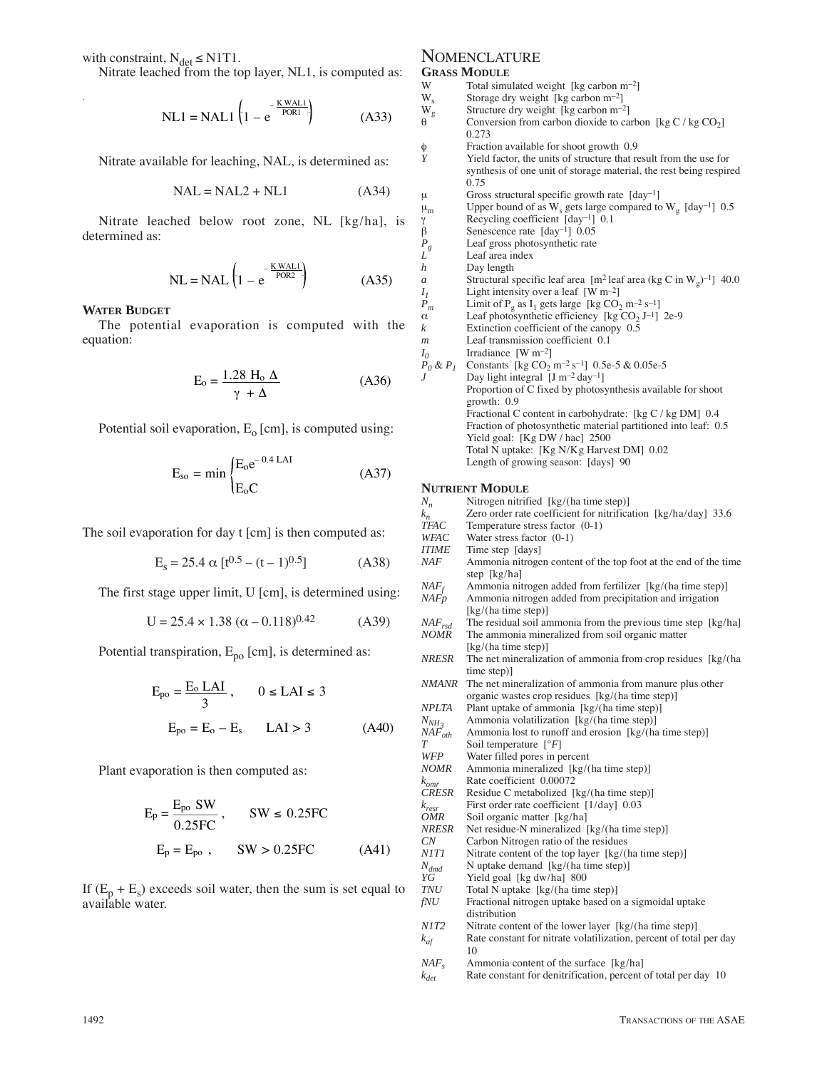with constraint,  $N_{\text{det}} \leq N1T1$ .

Nitrate leached from the top layer, NL1, is computed as:

$$
NL1 = NAL1 \left( 1 - e^{-\frac{K WALL1}{POR1}} \right) \tag{A33}
$$

Nitrate available for leaching, NAL, is determined as:

$$
NAL = NAL2 + NL1
$$
 (A34)

Nitrate leached below root zone, NL [kg/ha], is determined as:

$$
NL = NAL \left(1 - e^{-\frac{K WAL1}{POR2}}\right)
$$
 (A35)

#### **WATER BUDGET**

The potential evaporation is computed with the equation:

$$
E_o = \frac{1.28 \text{ H}_o \Delta}{\gamma + \Delta} \tag{A36}
$$

Potential soil evaporation,  $E_0$  [cm], is computed using:

$$
E_{so} = \min \begin{cases} E_0 e^{-0.4 \text{ LAI}} \\ E_0 C \end{cases}
$$
 (A37)

The soil evaporation for day t [cm] is then computed as:

$$
E_s = 25.4 \alpha [t^{0.5} - (t - 1)^{0.5}]
$$
 (A38)

The first stage upper limit, U [cm], is determined using:

$$
U = 25.4 \times 1.38 \ (\alpha - 0.118)^{0.42} \tag{A39}
$$

Potential transpiration,  $E_{po}$  [cm], is determined as:

$$
E_{po} = \frac{E_o \, LAI}{3}, \qquad 0 \le LAI \le 3
$$

$$
E_{po} = E_o - E_s \qquad LAI > 3 \tag{A40}
$$

Plant evaporation is then computed as:

$$
E_p = \frac{E_{po} SW}{0.25FC}, \qquad SW \le 0.25FC
$$
  

$$
E_p = E_{po}, \qquad SW > 0.25FC \qquad (A41)
$$

If  $(E_p + E_s)$  exceeds soil water, then the sum is set equal to available water.

# **NOMENCLATURE**

# **GRASS MODULE**

- W Total simulated weight [kg carbon m<sup>-2</sup>]<br>W<sub>s</sub> Storage dry weight [kg carbon m<sup>-2</sup>] W<sub>s</sub> Storage dry weight [kg carbon m<sup>-2</sup>]<br>W<sub>g</sub> Structure dry weight [kg carbon m<sup>-2</sup>]  $W_g$  Structure dry weight [kg carbon m<sup>-2</sup>]<br>  $\theta$  Conversion from carbon dioxide to ca Conversion from carbon dioxide to carbon [kg C / kg CO<sub>2</sub>] 0.273 φ Fraction available for shoot growth 0.9 *Y* Yield factor, the units of structure that result from the use for synthesis of one unit of storage material, the rest being respired 0.75  $μ$  Gross structural specific growth rate  $[day^{-1}]$  $\mu_{\rm m}$  Upper bound of as W<sub>s</sub> gets large compared to W<sub>g</sub> [day<sup>-1</sup>] 0.5 <sup>1</sup> Recycling coefficient  $\begin{bmatrix} \text{day}^{-1} \end{bmatrix}$  0.1<br>
β Senescence rate  $\begin{bmatrix} \text{day}^{-1} \end{bmatrix}$  0.05  $β$  Senescence rate [day<sup>-1</sup>] 0.05<br> *P<sub>g</sub>* Leaf gross photosynthetic rate<br> *L* Leaf area index Leaf gross photosynthetic rate *L* Leaf area index<br>*h* Day length *h* Day length *a* Structural specific leaf area  $[m^2 \text{ leaf area (kg C in W_g)}^{-1}]$  40.0<br> *I<sub>1</sub>* Light intensity over a leaf  $[W \text{ m}^{-2}]$ *I<sub>1</sub>* Light intensity over a leaf  $[W \, m^{-2}]$ <br>*P<sub>m</sub>* Limit of P<sub>g</sub> as I<sub>1</sub> gets large [kg CO<sub>2</sub> Limit of  $P_g$  as  $I_1$  gets large [kg  $CO_2$  m<sup>-2</sup> s<sup>-1</sup>]  $\alpha$  Leaf photosynthetic efficiency [kg CO<sub>2</sub> J<sup>-1</sup>] 2e-9<br>
k Extinction coefficient of the canopy 0.5 Extinction coefficient of the canopy 0.5 *m* Leaf transmission coefficient 0.1  $I_0$  Irradiance [W m<sup>-2</sup>]<br> $P_0 \& P_1$  Constants [kg CO<sub>2</sub> i Constants [kg  $CO_2$  m<sup>-2</sup> s<sup>-1</sup>] 0.5e-5 & 0.05e-5 Day light integral [J m<sup>-2</sup> day<sup>-1</sup>] Proportion of C fixed by photosynthesis available for shoot growth: 0.9 Fractional C content in carbohydrate: [kg C / kg DM] 0.4 Fraction of photosynthetic material partitioned into leaf: 0.5
- **NUTRIENT MODULE**

Yield goal: [Kg DW / hac] 2500

| Zero order rate coefficient for nitrification $[kg/ha/day]$ 33.6<br>$k_{n}$ | $N_{n}$ | Nitrogen nitrified $\left[\frac{kg}{(ha\ time\ step)}\right]$ |  |
|-----------------------------------------------------------------------------|---------|---------------------------------------------------------------|--|
|                                                                             |         |                                                               |  |

Total N uptake: [Kg N/Kg Harvest DM] 0.02 Length of growing season: [days] 90

*TFAC* Temperature stress factor (0-1)

*WFAC* Water stress factor (0-1)

- *ITIME* Time step [days] *NAF* Ammonia nitrogen content of the top foot at the end of the time step [kg/ha]
- $NAF_f$  Ammonia nitrogen added from fertilizer [kg/(ha time step)]<br> $NAF_p$  Ammonia nitrogen added from precipitation and irrigation Ammonia nitrogen added from precipitation and irrigation
- [kg/(ha time step)]
- $NAF_{rsd}$  The residual soil ammonia from the previous time step [kg/ha] *NOMR* The ammonia mineralized from soil organic matter The ammonia mineralized from soil organic matter [kg/(ha time step)]
- *NRESR* The net mineralization of ammonia from crop residues [kg/(ha time step)]
- *NMANR* The net mineralization of ammonia from manure plus other organic wastes crop residues [kg/(ha time step)] *NPLTA* Plant uptake of ammonia [kg/(ha time step)]
- 
- $N_{NH_3}$  Ammonia volatilization [kg/(ha time step)]<br> $NAF_{oth}$  Ammonia lost to runoff and erosion [kg/(ha  $NAF'_{\text{oth}}$  Ammonia lost to runoff and erosion [kg/(ha time step)]<br>*T* Soil temperature [°*F*] *T* Soil temperature [°*F*]<br>*WFP* Water filled pores in p **Water filled pores in percent**
- *NOMR* Ammonia mineralized [kg/(ha time step)] *k<sub>omr</sub>* Rate coefficient 0.00072<br>*CRESR* Residue C metabolized [
- Residue C metabolized [kg/(ha time step)]
- *k<sub>resr</sub>* First order rate coefficient [1/day] 0.03 *OMR* Soil organic matter [kg/ha]
- *OMR* Soil organic matter [kg/ha]<br>*NRESR* Net residue-N mineralized [ Net residue-N mineralized [kg/(ha time step)]
- *CN* Carbon Nitrogen ratio of the residues
- 
- *N1T1* Nitrate content of the top layer [kg/(ha time step)]<br>*N<sub>dmd</sub>* N uptake demand [kg/(ha time step)] *N<sub>dmd</sub>* N uptake demand [kg/(ha time step)]<br>*YG* Yield goal [kg dw/ha] 800
- *Yield goal* [kg dw/ha] 800
- *TNU* Total N uptake [kg/(ha time step)]
- *fNU* Fractional nitrogen uptake based on a sigmoidal uptake distribution
- *N1T2* Nitrate content of the lower layer [kg/(ha time step)]
- *kaf* Rate constant for nitrate volatilization, percent of total per day 10
- $NAF<sub>s</sub>$  Ammonia content of the surface [kg/ha]<br> $k<sub>det</sub>$  Rate constant for denitrification, percent
- Rate constant for denitrification, percent of total per day 10